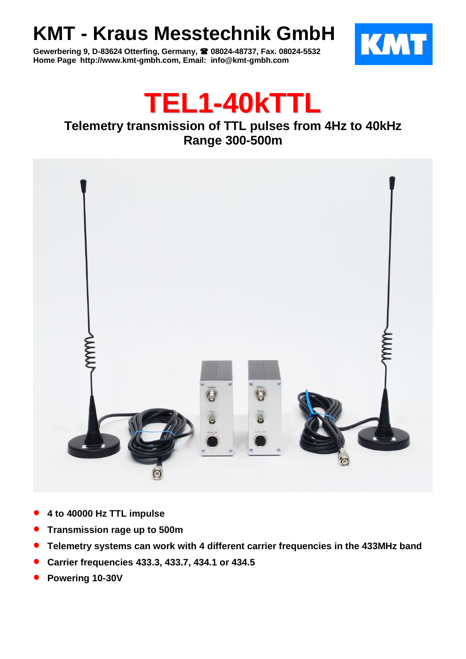## **KMT - Kraus Messtechnik GmbH**

**Gewerbering 9, D-83624 Otterfing, Germany, 08024-48737, Fax. 08024-5532 Home Page http://www.kmt-gmbh.com, Email: info@kmt-gmbh.com**





## **Telemetry transmission of TTL pulses from 4Hz to 40kHz Range 300-500m**



- **4 to 40000 Hz TTL impulse**
- **Transmission rage up to 500m**
- **Telemetry systems can work with 4 different carrier frequencies in the 433MHz band**
- **Carrier frequencies 433.3, 433.7, 434.1 or 434.5**
- **Powering 10-30V**